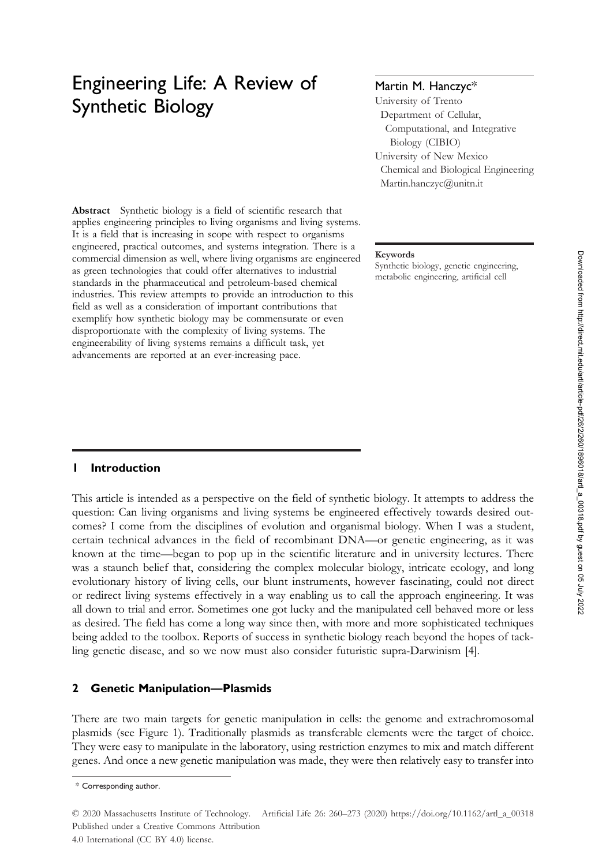# Engineering Life: A Review of Synthetic Biology

Abstract Synthetic biology is a field of scientific research that applies engineering principles to living organisms and living systems. It is a field that is increasing in scope with respect to organisms engineered, practical outcomes, and systems integration. There is a commercial dimension as well, where living organisms are engineered as green technologies that could offer alternatives to industrial standards in the pharmaceutical and petroleum-based chemical industries. This review attempts to provide an introduction to this field as well as a consideration of important contributions that exemplify how synthetic biology may be commensurate or even disproportionate with the complexity of living systems. The engineerability of living systems remains a difficult task, yet advancements are reported at an ever-increasing pace.

# Martin M. Hanczyc\*

University of Trento Department of Cellular, Computational, and Integrative Biology (CIBIO) University of New Mexico Chemical and Biological Engineering Martin.hanczyc@unitn.it

#### Keywords

Synthetic biology, genetic engineering, metabolic engineering, artificial cell

# **Introduction**

This article is intended as a perspective on the field of synthetic biology. It attempts to address the question: Can living organisms and living systems be engineered effectively towards desired outcomes? I come from the disciplines of evolution and organismal biology. When I was a student, certain technical advances in the field of recombinant DNA—or genetic engineering, as it was known at the time—began to pop up in the scientific literature and in university lectures. There was a staunch belief that, considering the complex molecular biology, intricate ecology, and long evolutionary history of living cells, our blunt instruments, however fascinating, could not direct or redirect living systems effectively in a way enabling us to call the approach engineering. It was all down to trial and error. Sometimes one got lucky and the manipulated cell behaved more or less as desired. The field has come a long way since then, with more and more sophisticated techniques being added to the toolbox. Reports of success in synthetic biology reach beyond the hopes of tackling genetic disease, and so we now must also consider futuristic supra-Darwinism [4].

### 2 Genetic Manipulation—Plasmids

There are two main targets for genetic manipulation in cells: the genome and extrachromosomal plasmids (see Figure 1). Traditionally plasmids as transferable elements were the target of choice. They were easy to manipulate in the laboratory, using restriction enzymes to mix and match different genes. And once a new genetic manipulation was made, they were then relatively easy to transfer into

<sup>\*</sup> Corresponding author.

<sup>© 2020</sup> Massachusetts Institute of Technology. Published under a Creative Commons Attribution 4.0 International (CC BY 4.0) license. Artificial Life 26: 260–273 (2020) https://doi.org/10.1162/artl\_a\_00318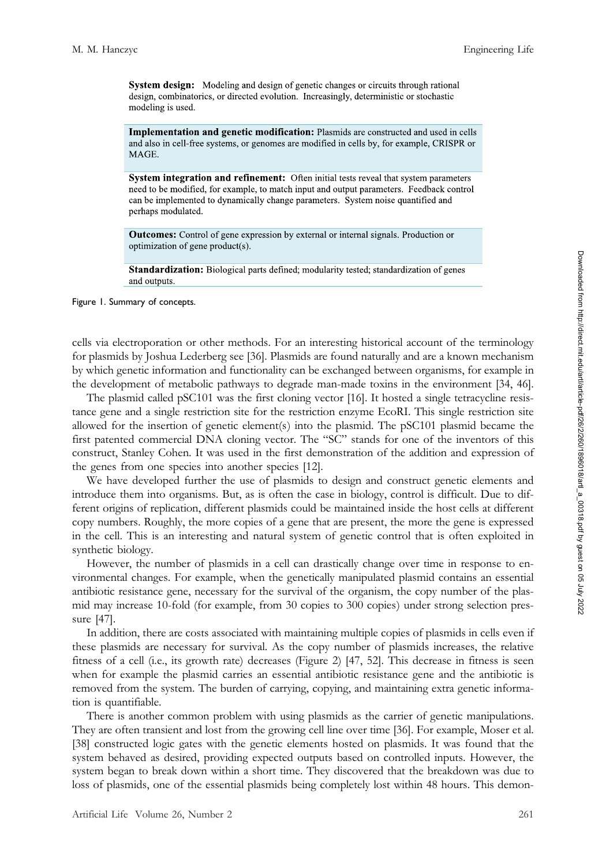System design: Modeling and design of genetic changes or circuits through rational design, combinatorics, or directed evolution. Increasingly, deterministic or stochastic modeling is used.

Implementation and genetic modification: Plasmids are constructed and used in cells and also in cell-free systems, or genomes are modified in cells by, for example, CRISPR or MAGE.

System integration and refinement: Often initial tests reveal that system parameters need to be modified, for example, to match input and output parameters. Feedback control can be implemented to dynamically change parameters. System noise quantified and perhaps modulated.

Outcomes: Control of gene expression by external or internal signals. Production or optimization of gene product(s).

Standardization: Biological parts defined; modularity tested; standardization of genes and outputs.

Figure 1. Summary of concepts.

cells via electroporation or other methods. For an interesting historical account of the terminology for plasmids by Joshua Lederberg see [36]. Plasmids are found naturally and are a known mechanism by which genetic information and functionality can be exchanged between organisms, for example in the development of metabolic pathways to degrade man-made toxins in the environment [34, 46].

The plasmid called pSC101 was the first cloning vector [16]. It hosted a single tetracycline resistance gene and a single restriction site for the restriction enzyme EcoRI. This single restriction site allowed for the insertion of genetic element(s) into the plasmid. The pSC101 plasmid became the first patented commercial DNA cloning vector. The "SC" stands for one of the inventors of this construct, Stanley Cohen. It was used in the first demonstration of the addition and expression of the genes from one species into another species [12].

We have developed further the use of plasmids to design and construct genetic elements and introduce them into organisms. But, as is often the case in biology, control is difficult. Due to different origins of replication, different plasmids could be maintained inside the host cells at different copy numbers. Roughly, the more copies of a gene that are present, the more the gene is expressed in the cell. This is an interesting and natural system of genetic control that is often exploited in synthetic biology.

However, the number of plasmids in a cell can drastically change over time in response to environmental changes. For example, when the genetically manipulated plasmid contains an essential antibiotic resistance gene, necessary for the survival of the organism, the copy number of the plasmid may increase 10-fold (for example, from 30 copies to 300 copies) under strong selection pressure [47].

In addition, there are costs associated with maintaining multiple copies of plasmids in cells even if these plasmids are necessary for survival. As the copy number of plasmids increases, the relative fitness of a cell (i.e., its growth rate) decreases (Figure 2) [47, 52]. This decrease in fitness is seen when for example the plasmid carries an essential antibiotic resistance gene and the antibiotic is removed from the system. The burden of carrying, copying, and maintaining extra genetic information is quantifiable.

There is another common problem with using plasmids as the carrier of genetic manipulations. They are often transient and lost from the growing cell line over time [36]. For example, Moser et al. [38] constructed logic gates with the genetic elements hosted on plasmids. It was found that the system behaved as desired, providing expected outputs based on controlled inputs. However, the system began to break down within a short time. They discovered that the breakdown was due to loss of plasmids, one of the essential plasmids being completely lost within 48 hours. This demon-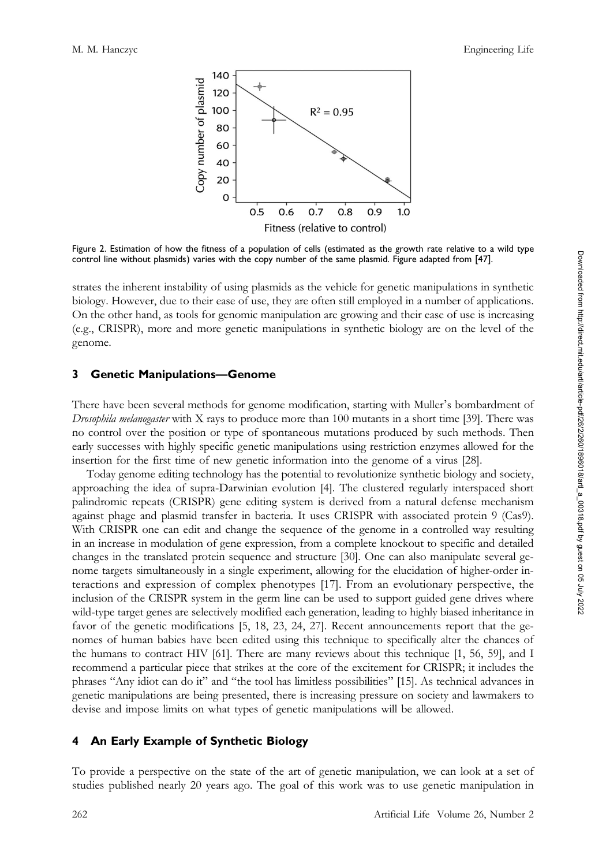

Figure 2. Estimation of how the fitness of a population of cells (estimated as the growth rate relative to a wild type control line without plasmids) varies with the copy number of the same plasmid. Figure adapted from [47].

strates the inherent instability of using plasmids as the vehicle for genetic manipulations in synthetic biology. However, due to their ease of use, they are often still employed in a number of applications. On the other hand, as tools for genomic manipulation are growing and their ease of use is increasing (e.g., CRISPR), more and more genetic manipulations in synthetic biology are on the level of the genome.

#### 3 Genetic Manipulations—Genome

There have been several methods for genome modification, starting with Muller's bombardment of Drosophila melanogaster with X rays to produce more than 100 mutants in a short time [39]. There was no control over the position or type of spontaneous mutations produced by such methods. Then early successes with highly specific genetic manipulations using restriction enzymes allowed for the insertion for the first time of new genetic information into the genome of a virus [28].

Today genome editing technology has the potential to revolutionize synthetic biology and society, approaching the idea of supra-Darwinian evolution [4]. The clustered regularly interspaced short palindromic repeats (CRISPR) gene editing system is derived from a natural defense mechanism against phage and plasmid transfer in bacteria. It uses CRISPR with associated protein 9 (Cas9). With CRISPR one can edit and change the sequence of the genome in a controlled way resulting in an increase in modulation of gene expression, from a complete knockout to specific and detailed changes in the translated protein sequence and structure [30]. One can also manipulate several genome targets simultaneously in a single experiment, allowing for the elucidation of higher-order interactions and expression of complex phenotypes [17]. From an evolutionary perspective, the inclusion of the CRISPR system in the germ line can be used to support guided gene drives where wild-type target genes are selectively modified each generation, leading to highly biased inheritance in favor of the genetic modifications [5, 18, 23, 24, 27]. Recent announcements report that the genomes of human babies have been edited using this technique to specifically alter the chances of the humans to contract HIV [61]. There are many reviews about this technique [1, 56, 59], and I recommend a particular piece that strikes at the core of the excitement for CRISPR; it includes the phrases "Any idiot can do it" and "the tool has limitless possibilities" [15]. As technical advances in genetic manipulations are being presented, there is increasing pressure on society and lawmakers to devise and impose limits on what types of genetic manipulations will be allowed.

### 4 An Early Example of Synthetic Biology

To provide a perspective on the state of the art of genetic manipulation, we can look at a set of studies published nearly 20 years ago. The goal of this work was to use genetic manipulation in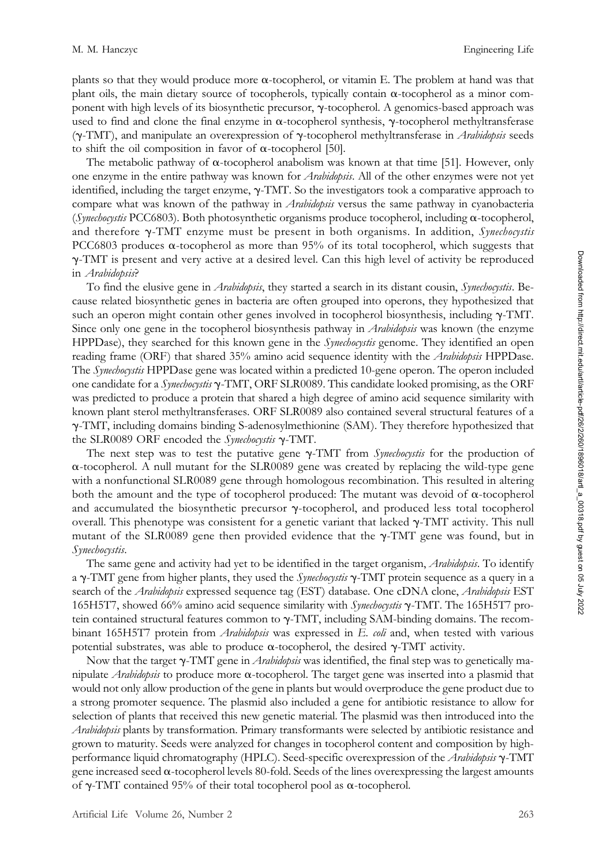plants so that they would produce more  $\alpha$ -tocopherol, or vitamin E. The problem at hand was that plant oils, the main dietary source of tocopherols, typically contain  $\alpha$ -tocopherol as a minor component with high levels of its biosynthetic precursor, g-tocopherol. A genomics-based approach was used to find and clone the final enzyme in  $\alpha$ -tocopherol synthesis,  $\gamma$ -tocopherol methyltransferase  $(\gamma$ -TMT), and manipulate an overexpression of  $\gamma$ -tocopherol methyltransferase in *Arabidopsis* seeds to shift the oil composition in favor of  $\alpha$ -tocopherol [50].

The metabolic pathway of  $\alpha$ -tocopherol anabolism was known at that time [51]. However, only one enzyme in the entire pathway was known for *Arabidopsis*. All of the other enzymes were not yet identified, including the target enzyme,  $\gamma$ -TMT. So the investigators took a comparative approach to compare what was known of the pathway in *Arabidopsis* versus the same pathway in cyanobacteria (Synechocystis PCC6803). Both photosynthetic organisms produce tocopherol, including a-tocopherol, and therefore  $\gamma$ -TMT enzyme must be present in both organisms. In addition, Synechocystis PCC6803 produces  $\alpha$ -tocopherol as more than 95% of its total tocopherol, which suggests that  $\gamma$ -TMT is present and very active at a desired level. Can this high level of activity be reproduced in Arabidopsis?

To find the elusive gene in *Arabidopsis*, they started a search in its distant cousin, *Synechocystis*. Because related biosynthetic genes in bacteria are often grouped into operons, they hypothesized that such an operon might contain other genes involved in tocopherol biosynthesis, including  $\gamma$ -TMT. Since only one gene in the tocopherol biosynthesis pathway in *Arabidopsis* was known (the enzyme HPPDase), they searched for this known gene in the *Synechocystis* genome. They identified an open reading frame (ORF) that shared 35% amino acid sequence identity with the Arabidopsis HPPDase. The Synechocystis HPPDase gene was located within a predicted 10-gene operon. The operon included one candidate for a Synechocystis  $\gamma$ -TMT, ORF SLR0089. This candidate looked promising, as the ORF was predicted to produce a protein that shared a high degree of amino acid sequence similarity with known plant sterol methyltransferases. ORF SLR0089 also contained several structural features of a  $\gamma$ -TMT, including domains binding S-adenosylmethionine (SAM). They therefore hypothesized that the SLR0089 ORF encoded the Synechocystis  $\gamma$ -TMT.

The next step was to test the putative gene  $\gamma$ -TMT from *Synechocystis* for the production of  $\alpha$ -tocopherol. A null mutant for the SLR0089 gene was created by replacing the wild-type gene with a nonfunctional SLR0089 gene through homologous recombination. This resulted in altering both the amount and the type of tocopherol produced: The mutant was devoid of  $\alpha$ -tocopherol and accumulated the biosynthetic precursor  $\gamma$ -tocopherol, and produced less total tocopherol overall. This phenotype was consistent for a genetic variant that lacked  $\gamma$ -TMT activity. This null mutant of the SLR0089 gene then provided evidence that the  $\gamma$ -TMT gene was found, but in Synechocystis.

The same gene and activity had yet to be identified in the target organism, Arabidopsis. To identify a  $\gamma$ -TMT gene from higher plants, they used the *Synechocystis*  $\gamma$ -TMT protein sequence as a query in a search of the Arabidopsis expressed sequence tag (EST) database. One cDNA clone, Arabidopsis EST 165H5T7, showed 66% amino acid sequence similarity with Synechocystis  $\gamma$ -TMT. The 165H5T7 protein contained structural features common to  $\gamma$ -TMT, including SAM-binding domains. The recombinant 165H5T7 protein from *Arabidopsis* was expressed in E. coli and, when tested with various potential substrates, was able to produce  $\alpha$ -tocopherol, the desired  $\gamma$ -TMT activity.

Now that the target  $\gamma$ -TMT gene in *Arabidopsis* was identified, the final step was to genetically manipulate *Arabidopsis* to produce more  $\alpha$ -tocopherol. The target gene was inserted into a plasmid that would not only allow production of the gene in plants but would overproduce the gene product due to a strong promoter sequence. The plasmid also included a gene for antibiotic resistance to allow for selection of plants that received this new genetic material. The plasmid was then introduced into the Arabidopsis plants by transformation. Primary transformants were selected by antibiotic resistance and grown to maturity. Seeds were analyzed for changes in tocopherol content and composition by highperformance liquid chromatography (HPLC). Seed-specific overexpression of the Arabidopsis  $\gamma$ -TMT gene increased seed  $\alpha$ -tocopherol levels 80-fold. Seeds of the lines overexpressing the largest amounts of  $\gamma$ -TMT contained 95% of their total tocopherol pool as  $\alpha$ -tocopherol.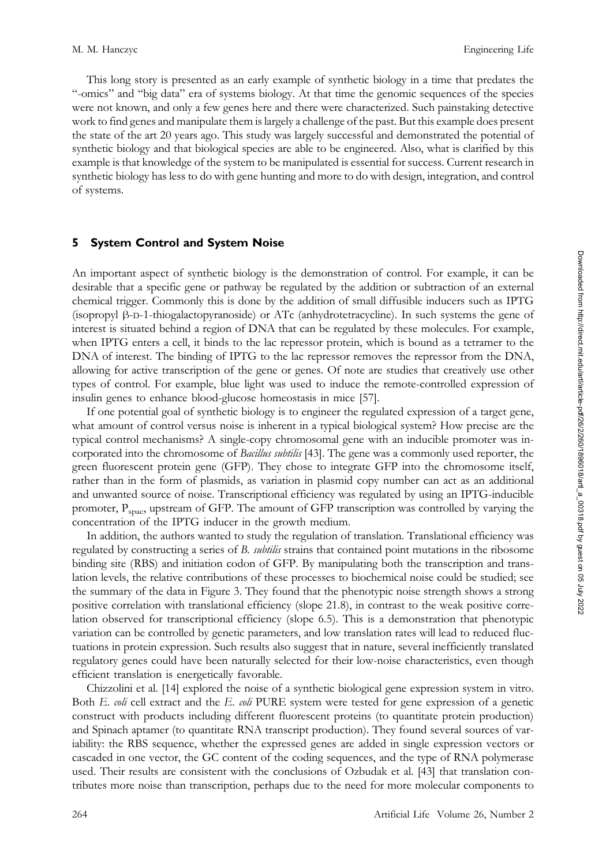This long story is presented as an early example of synthetic biology in a time that predates the "-omics" and "big data" era of systems biology. At that time the genomic sequences of the species were not known, and only a few genes here and there were characterized. Such painstaking detective work to find genes and manipulate them is largely a challenge of the past. But this example does present the state of the art 20 years ago. This study was largely successful and demonstrated the potential of synthetic biology and that biological species are able to be engineered. Also, what is clarified by this example is that knowledge of the system to be manipulated is essential for success. Current research in synthetic biology has less to do with gene hunting and more to do with design, integration, and control of systems.

### 5 System Control and System Noise

An important aspect of synthetic biology is the demonstration of control. For example, it can be desirable that a specific gene or pathway be regulated by the addition or subtraction of an external chemical trigger. Commonly this is done by the addition of small diffusible inducers such as IPTG (isopropyl h-D-1-thiogalactopyranoside) or ATc (anhydrotetracycline). In such systems the gene of interest is situated behind a region of DNA that can be regulated by these molecules. For example, when IPTG enters a cell, it binds to the lac repressor protein, which is bound as a tetramer to the DNA of interest. The binding of IPTG to the lac repressor removes the repressor from the DNA, allowing for active transcription of the gene or genes. Of note are studies that creatively use other types of control. For example, blue light was used to induce the remote-controlled expression of insulin genes to enhance blood-glucose homeostasis in mice [57].

If one potential goal of synthetic biology is to engineer the regulated expression of a target gene, what amount of control versus noise is inherent in a typical biological system? How precise are the typical control mechanisms? A single-copy chromosomal gene with an inducible promoter was incorporated into the chromosome of *Bacillus subtilis* [43]. The gene was a commonly used reporter, the green fluorescent protein gene (GFP). They chose to integrate GFP into the chromosome itself, rather than in the form of plasmids, as variation in plasmid copy number can act as an additional and unwanted source of noise. Transcriptional efficiency was regulated by using an IPTG-inducible promoter,  $P_{\text{space}}$  upstream of GFP. The amount of GFP transcription was controlled by varying the concentration of the IPTG inducer in the growth medium.

In addition, the authors wanted to study the regulation of translation. Translational efficiency was regulated by constructing a series of B. *subtilis* strains that contained point mutations in the ribosome binding site (RBS) and initiation codon of GFP. By manipulating both the transcription and translation levels, the relative contributions of these processes to biochemical noise could be studied; see the summary of the data in Figure 3. They found that the phenotypic noise strength shows a strong positive correlation with translational efficiency (slope 21.8), in contrast to the weak positive correlation observed for transcriptional efficiency (slope 6.5). This is a demonstration that phenotypic variation can be controlled by genetic parameters, and low translation rates will lead to reduced fluctuations in protein expression. Such results also suggest that in nature, several inefficiently translated regulatory genes could have been naturally selected for their low-noise characteristics, even though efficient translation is energetically favorable.

Chizzolini et al. [14] explored the noise of a synthetic biological gene expression system in vitro. Both E. coli cell extract and the E. coli PURE system were tested for gene expression of a genetic construct with products including different fluorescent proteins (to quantitate protein production) and Spinach aptamer (to quantitate RNA transcript production). They found several sources of variability: the RBS sequence, whether the expressed genes are added in single expression vectors or cascaded in one vector, the GC content of the coding sequences, and the type of RNA polymerase used. Their results are consistent with the conclusions of Ozbudak et al. [43] that translation contributes more noise than transcription, perhaps due to the need for more molecular components to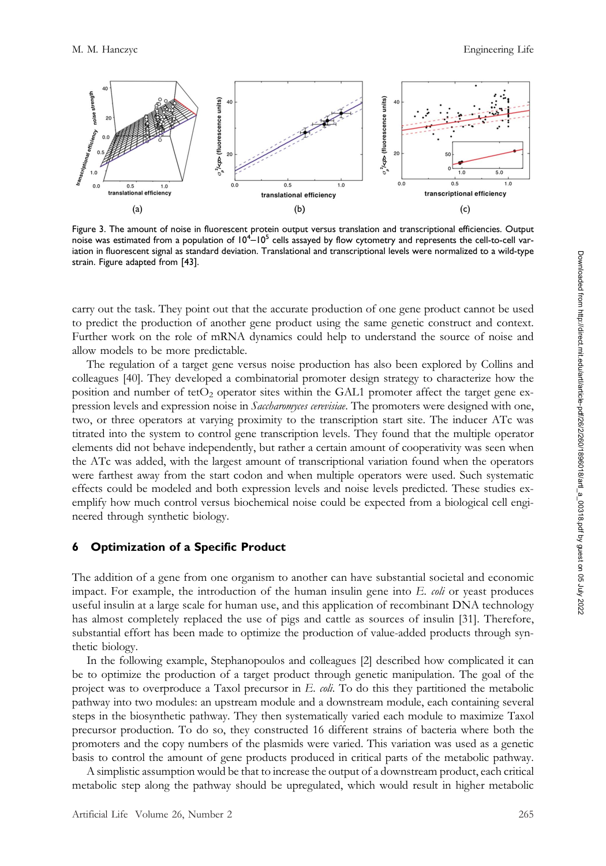

Figure 3. The amount of noise in fluorescent protein output versus translation and transcriptional efficiencies. Output noise was estimated from a population of  $10^4$ – $10^5$  cells assayed by flow cytometry and represents the cell-to-cell variation in fluorescent signal as standard deviation. Translational and transcriptional levels were normalized to a wild-type strain. Figure adapted from [43].

carry out the task. They point out that the accurate production of one gene product cannot be used to predict the production of another gene product using the same genetic construct and context. Further work on the role of mRNA dynamics could help to understand the source of noise and allow models to be more predictable.

The regulation of a target gene versus noise production has also been explored by Collins and colleagues [40]. They developed a combinatorial promoter design strategy to characterize how the position and number of tetO<sub>2</sub> operator sites within the GAL1 promoter affect the target gene expression levels and expression noise in Saccharomyces cerevisiae. The promoters were designed with one, two, or three operators at varying proximity to the transcription start site. The inducer ATc was titrated into the system to control gene transcription levels. They found that the multiple operator elements did not behave independently, but rather a certain amount of cooperativity was seen when the ATc was added, with the largest amount of transcriptional variation found when the operators were farthest away from the start codon and when multiple operators were used. Such systematic effects could be modeled and both expression levels and noise levels predicted. These studies exemplify how much control versus biochemical noise could be expected from a biological cell engineered through synthetic biology.

# **Optimization of a Specific Product**

The addition of a gene from one organism to another can have substantial societal and economic impact. For example, the introduction of the human insulin gene into  $E$ .  $\omega h$  or yeast produces useful insulin at a large scale for human use, and this application of recombinant DNA technology has almost completely replaced the use of pigs and cattle as sources of insulin [31]. Therefore, substantial effort has been made to optimize the production of value-added products through synthetic biology.

In the following example, Stephanopoulos and colleagues [2] described how complicated it can be to optimize the production of a target product through genetic manipulation. The goal of the project was to overproduce a Taxol precursor in E. *coli*. To do this they partitioned the metabolic pathway into two modules: an upstream module and a downstream module, each containing several steps in the biosynthetic pathway. They then systematically varied each module to maximize Taxol precursor production. To do so, they constructed 16 different strains of bacteria where both the promoters and the copy numbers of the plasmids were varied. This variation was used as a genetic basis to control the amount of gene products produced in critical parts of the metabolic pathway.

A simplistic assumption would be that to increase the output of a downstream product, each critical metabolic step along the pathway should be upregulated, which would result in higher metabolic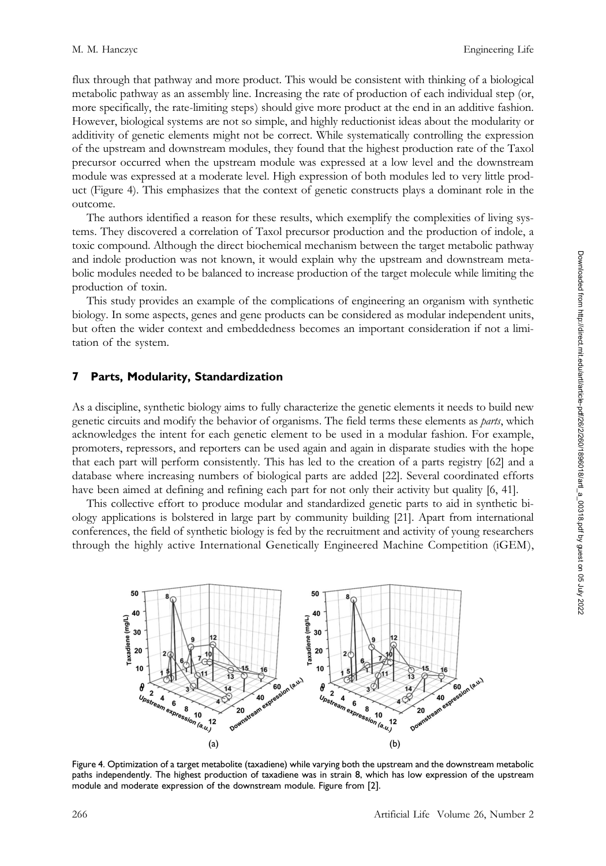flux through that pathway and more product. This would be consistent with thinking of a biological metabolic pathway as an assembly line. Increasing the rate of production of each individual step (or, more specifically, the rate-limiting steps) should give more product at the end in an additive fashion. However, biological systems are not so simple, and highly reductionist ideas about the modularity or additivity of genetic elements might not be correct. While systematically controlling the expression of the upstream and downstream modules, they found that the highest production rate of the Taxol precursor occurred when the upstream module was expressed at a low level and the downstream module was expressed at a moderate level. High expression of both modules led to very little product (Figure 4). This emphasizes that the context of genetic constructs plays a dominant role in the outcome.

The authors identified a reason for these results, which exemplify the complexities of living systems. They discovered a correlation of Taxol precursor production and the production of indole, a toxic compound. Although the direct biochemical mechanism between the target metabolic pathway and indole production was not known, it would explain why the upstream and downstream metabolic modules needed to be balanced to increase production of the target molecule while limiting the production of toxin.

This study provides an example of the complications of engineering an organism with synthetic biology. In some aspects, genes and gene products can be considered as modular independent units, but often the wider context and embeddedness becomes an important consideration if not a limitation of the system.

# 7 Parts, Modularity, Standardization

As a discipline, synthetic biology aims to fully characterize the genetic elements it needs to build new genetic circuits and modify the behavior of organisms. The field terms these elements as *parts*, which acknowledges the intent for each genetic element to be used in a modular fashion. For example, promoters, repressors, and reporters can be used again and again in disparate studies with the hope that each part will perform consistently. This has led to the creation of a parts registry [62] and a database where increasing numbers of biological parts are added [22]. Several coordinated efforts have been aimed at defining and refining each part for not only their activity but quality [6, 41].

This collective effort to produce modular and standardized genetic parts to aid in synthetic biology applications is bolstered in large part by community building [21]. Apart from international conferences, the field of synthetic biology is fed by the recruitment and activity of young researchers through the highly active International Genetically Engineered Machine Competition (iGEM),



Figure 4. Optimization of a target metabolite (taxadiene) while varying both the upstream and the downstream metabolic paths independently. The highest production of taxadiene was in strain 8, which has low expression of the upstream module and moderate expression of the downstream module. Figure from [2].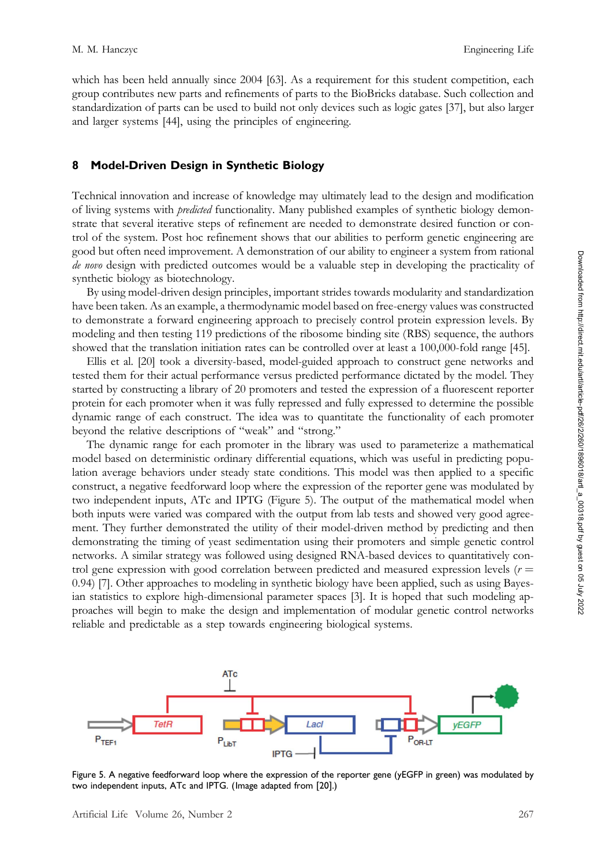which has been held annually since 2004 [63]. As a requirement for this student competition, each group contributes new parts and refinements of parts to the BioBricks database. Such collection and standardization of parts can be used to build not only devices such as logic gates [37], but also larger and larger systems [44], using the principles of engineering.

# 8 Model-Driven Design in Synthetic Biology

Technical innovation and increase of knowledge may ultimately lead to the design and modification of living systems with *predicted* functionality. Many published examples of synthetic biology demonstrate that several iterative steps of refinement are needed to demonstrate desired function or control of the system. Post hoc refinement shows that our abilities to perform genetic engineering are good but often need improvement. A demonstration of our ability to engineer a system from rational de novo design with predicted outcomes would be a valuable step in developing the practicality of synthetic biology as biotechnology.

By using model-driven design principles, important strides towards modularity and standardization have been taken. As an example, a thermodynamic model based on free-energy values was constructed to demonstrate a forward engineering approach to precisely control protein expression levels. By modeling and then testing 119 predictions of the ribosome binding site (RBS) sequence, the authors showed that the translation initiation rates can be controlled over at least a 100,000-fold range [45].

Ellis et al. [20] took a diversity-based, model-guided approach to construct gene networks and tested them for their actual performance versus predicted performance dictated by the model. They started by constructing a library of 20 promoters and tested the expression of a fluorescent reporter protein for each promoter when it was fully repressed and fully expressed to determine the possible dynamic range of each construct. The idea was to quantitate the functionality of each promoter beyond the relative descriptions of "weak" and "strong."

The dynamic range for each promoter in the library was used to parameterize a mathematical model based on deterministic ordinary differential equations, which was useful in predicting population average behaviors under steady state conditions. This model was then applied to a specific construct, a negative feedforward loop where the expression of the reporter gene was modulated by two independent inputs, ATc and IPTG (Figure 5). The output of the mathematical model when both inputs were varied was compared with the output from lab tests and showed very good agreement. They further demonstrated the utility of their model-driven method by predicting and then demonstrating the timing of yeast sedimentation using their promoters and simple genetic control networks. A similar strategy was followed using designed RNA-based devices to quantitatively control gene expression with good correlation between predicted and measured expression levels ( $r =$ 0.94) [7]. Other approaches to modeling in synthetic biology have been applied, such as using Bayesian statistics to explore high-dimensional parameter spaces [3]. It is hoped that such modeling approaches will begin to make the design and implementation of modular genetic control networks reliable and predictable as a step towards engineering biological systems.



Figure 5. A negative feedforward loop where the expression of the reporter gene (yEGFP in green) was modulated by two independent inputs, ATc and IPTG. (Image adapted from [20].)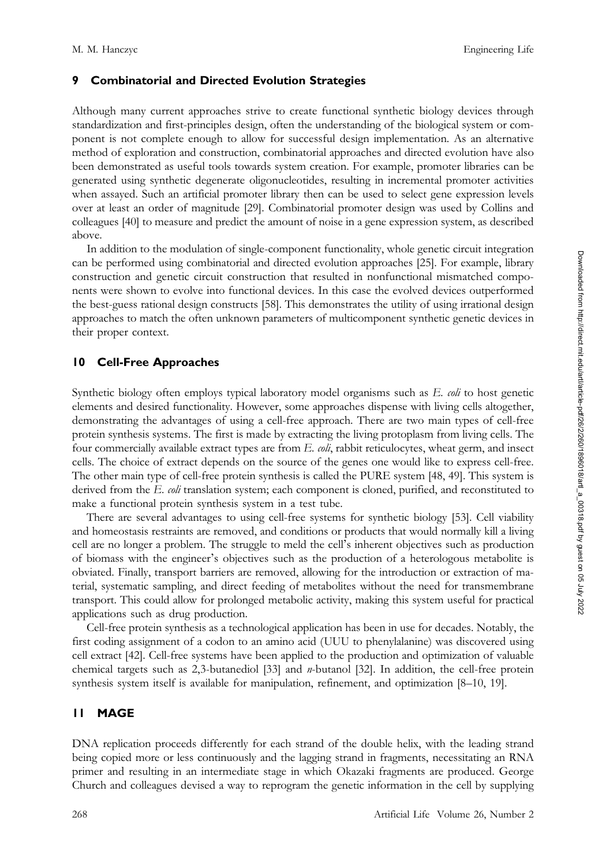# 9 Combinatorial and Directed Evolution Strategies

Although many current approaches strive to create functional synthetic biology devices through standardization and first-principles design, often the understanding of the biological system or component is not complete enough to allow for successful design implementation. As an alternative method of exploration and construction, combinatorial approaches and directed evolution have also been demonstrated as useful tools towards system creation. For example, promoter libraries can be generated using synthetic degenerate oligonucleotides, resulting in incremental promoter activities when assayed. Such an artificial promoter library then can be used to select gene expression levels over at least an order of magnitude [29]. Combinatorial promoter design was used by Collins and colleagues [40] to measure and predict the amount of noise in a gene expression system, as described above.

In addition to the modulation of single-component functionality, whole genetic circuit integration can be performed using combinatorial and directed evolution approaches [25]. For example, library construction and genetic circuit construction that resulted in nonfunctional mismatched components were shown to evolve into functional devices. In this case the evolved devices outperformed the best-guess rational design constructs [58]. This demonstrates the utility of using irrational design approaches to match the often unknown parameters of multicomponent synthetic genetic devices in their proper context.

# 10 Cell-Free Approaches

Synthetic biology often employs typical laboratory model organisms such as E. coli to host genetic elements and desired functionality. However, some approaches dispense with living cells altogether, demonstrating the advantages of using a cell-free approach. There are two main types of cell-free protein synthesis systems. The first is made by extracting the living protoplasm from living cells. The four commercially available extract types are from E. *coli*, rabbit reticulocytes, wheat germ, and insect cells. The choice of extract depends on the source of the genes one would like to express cell-free. The other main type of cell-free protein synthesis is called the PURE system [48, 49]. This system is derived from the E. coli translation system; each component is cloned, purified, and reconstituted to make a functional protein synthesis system in a test tube.

There are several advantages to using cell-free systems for synthetic biology [53]. Cell viability and homeostasis restraints are removed, and conditions or products that would normally kill a living cell are no longer a problem. The struggle to meld the cell's inherent objectives such as production of biomass with the engineer's objectives such as the production of a heterologous metabolite is obviated. Finally, transport barriers are removed, allowing for the introduction or extraction of material, systematic sampling, and direct feeding of metabolites without the need for transmembrane transport. This could allow for prolonged metabolic activity, making this system useful for practical applications such as drug production.

Cell-free protein synthesis as a technological application has been in use for decades. Notably, the first coding assignment of a codon to an amino acid (UUU to phenylalanine) was discovered using cell extract [42]. Cell-free systems have been applied to the production and optimization of valuable chemical targets such as 2,3-butanediol [33] and n-butanol [32]. In addition, the cell-free protein synthesis system itself is available for manipulation, refinement, and optimization [8–10, 19].

# 11 MAGE

DNA replication proceeds differently for each strand of the double helix, with the leading strand being copied more or less continuously and the lagging strand in fragments, necessitating an RNA primer and resulting in an intermediate stage in which Okazaki fragments are produced. George Church and colleagues devised a way to reprogram the genetic information in the cell by supplying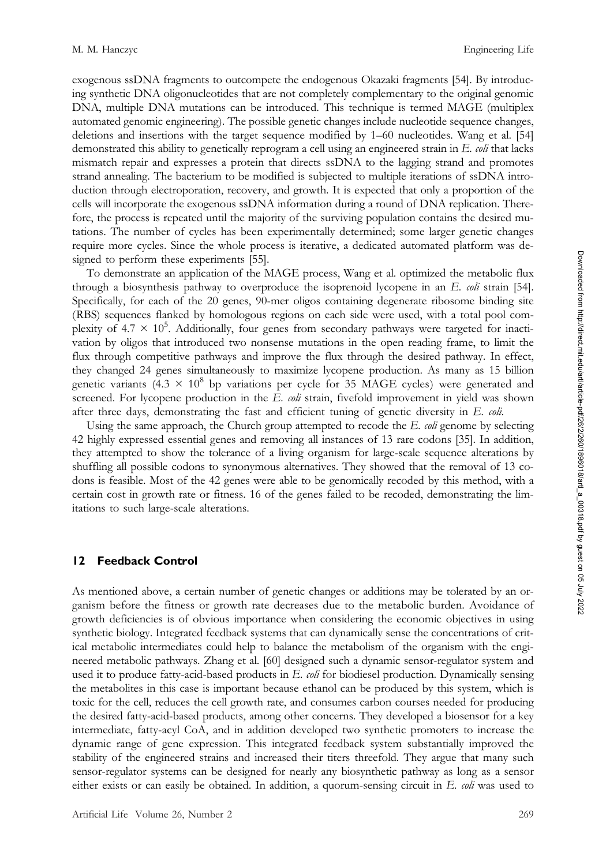exogenous ssDNA fragments to outcompete the endogenous Okazaki fragments [54]. By introducing synthetic DNA oligonucleotides that are not completely complementary to the original genomic DNA, multiple DNA mutations can be introduced. This technique is termed MAGE (multiplex automated genomic engineering). The possible genetic changes include nucleotide sequence changes, deletions and insertions with the target sequence modified by 1–60 nucleotides. Wang et al. [54] demonstrated this ability to genetically reprogram a cell using an engineered strain in E. coli that lacks mismatch repair and expresses a protein that directs ssDNA to the lagging strand and promotes strand annealing. The bacterium to be modified is subjected to multiple iterations of ssDNA introduction through electroporation, recovery, and growth. It is expected that only a proportion of the cells will incorporate the exogenous ssDNA information during a round of DNA replication. Therefore, the process is repeated until the majority of the surviving population contains the desired mutations. The number of cycles has been experimentally determined; some larger genetic changes require more cycles. Since the whole process is iterative, a dedicated automated platform was designed to perform these experiments [55].

To demonstrate an application of the MAGE process, Wang et al. optimized the metabolic flux through a biosynthesis pathway to overproduce the isoprenoid lycopene in an E. coli strain [54]. Specifically, for each of the 20 genes, 90-mer oligos containing degenerate ribosome binding site (RBS) sequences flanked by homologous regions on each side were used, with a total pool complexity of  $4.7 \times 10^5$ . Additionally, four genes from secondary pathways were targeted for inactivation by oligos that introduced two nonsense mutations in the open reading frame, to limit the flux through competitive pathways and improve the flux through the desired pathway. In effect, they changed 24 genes simultaneously to maximize lycopene production. As many as 15 billion genetic variants  $(4.3 \times 10^8$  bp variations per cycle for 35 MAGE cycles) were generated and screened. For lycopene production in the E. *coli* strain, fivefold improvement in yield was shown after three days, demonstrating the fast and efficient tuning of genetic diversity in  $E$ . coli.

Using the same approach, the Church group attempted to recode the E. coli genome by selecting 42 highly expressed essential genes and removing all instances of 13 rare codons [35]. In addition, they attempted to show the tolerance of a living organism for large-scale sequence alterations by shuffling all possible codons to synonymous alternatives. They showed that the removal of 13 codons is feasible. Most of the 42 genes were able to be genomically recoded by this method, with a certain cost in growth rate or fitness. 16 of the genes failed to be recoded, demonstrating the limitations to such large-scale alterations.

### 12 Feedback Control

As mentioned above, a certain number of genetic changes or additions may be tolerated by an organism before the fitness or growth rate decreases due to the metabolic burden. Avoidance of growth deficiencies is of obvious importance when considering the economic objectives in using synthetic biology. Integrated feedback systems that can dynamically sense the concentrations of critical metabolic intermediates could help to balance the metabolism of the organism with the engineered metabolic pathways. Zhang et al. [60] designed such a dynamic sensor-regulator system and used it to produce fatty-acid-based products in E. *coli* for biodiesel production. Dynamically sensing the metabolites in this case is important because ethanol can be produced by this system, which is toxic for the cell, reduces the cell growth rate, and consumes carbon courses needed for producing the desired fatty-acid-based products, among other concerns. They developed a biosensor for a key intermediate, fatty-acyl CoA, and in addition developed two synthetic promoters to increase the dynamic range of gene expression. This integrated feedback system substantially improved the stability of the engineered strains and increased their titers threefold. They argue that many such sensor-regulator systems can be designed for nearly any biosynthetic pathway as long as a sensor either exists or can easily be obtained. In addition, a quorum-sensing circuit in E. coli was used to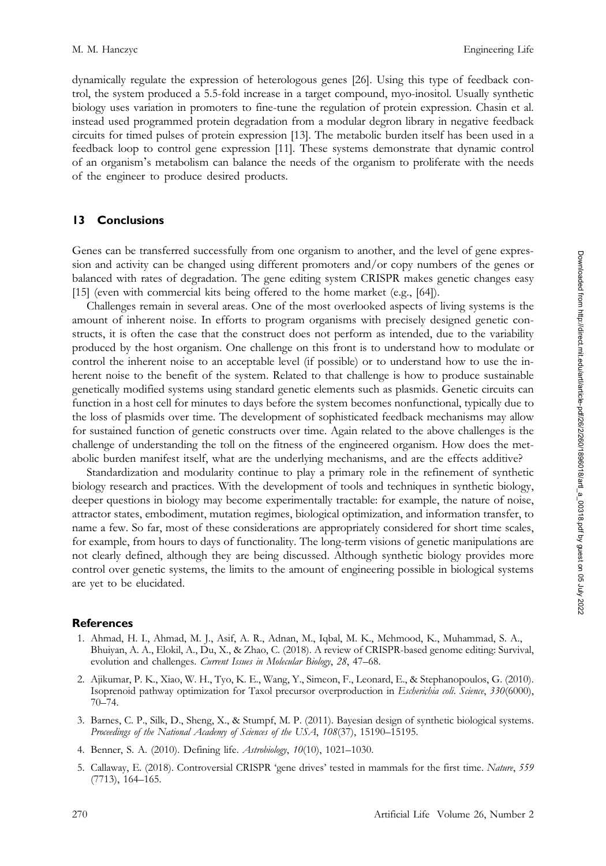dynamically regulate the expression of heterologous genes [26]. Using this type of feedback control, the system produced a 5.5-fold increase in a target compound, myo-inositol. Usually synthetic biology uses variation in promoters to fine-tune the regulation of protein expression. Chasin et al. instead used programmed protein degradation from a modular degron library in negative feedback circuits for timed pulses of protein expression [13]. The metabolic burden itself has been used in a feedback loop to control gene expression [11]. These systems demonstrate that dynamic control of an organism's metabolism can balance the needs of the organism to proliferate with the needs of the engineer to produce desired products.

# 13 Conclusions

Genes can be transferred successfully from one organism to another, and the level of gene expression and activity can be changed using different promoters and/or copy numbers of the genes or balanced with rates of degradation. The gene editing system CRISPR makes genetic changes easy [15] (even with commercial kits being offered to the home market (e.g., [64]).

Challenges remain in several areas. One of the most overlooked aspects of living systems is the amount of inherent noise. In efforts to program organisms with precisely designed genetic constructs, it is often the case that the construct does not perform as intended, due to the variability produced by the host organism. One challenge on this front is to understand how to modulate or control the inherent noise to an acceptable level (if possible) or to understand how to use the inherent noise to the benefit of the system. Related to that challenge is how to produce sustainable genetically modified systems using standard genetic elements such as plasmids. Genetic circuits can function in a host cell for minutes to days before the system becomes nonfunctional, typically due to the loss of plasmids over time. The development of sophisticated feedback mechanisms may allow for sustained function of genetic constructs over time. Again related to the above challenges is the challenge of understanding the toll on the fitness of the engineered organism. How does the metabolic burden manifest itself, what are the underlying mechanisms, and are the effects additive?

Standardization and modularity continue to play a primary role in the refinement of synthetic biology research and practices. With the development of tools and techniques in synthetic biology, deeper questions in biology may become experimentally tractable: for example, the nature of noise, attractor states, embodiment, mutation regimes, biological optimization, and information transfer, to name a few. So far, most of these considerations are appropriately considered for short time scales, for example, from hours to days of functionality. The long-term visions of genetic manipulations are not clearly defined, although they are being discussed. Although synthetic biology provides more control over genetic systems, the limits to the amount of engineering possible in biological systems are yet to be elucidated.

#### References

- 1. Ahmad, H. I., Ahmad, M. J., Asif, A. R., Adnan, M., Iqbal, M. K., Mehmood, K., Muhammad, S. A., Bhuiyan, A. A., Elokil, A., Du, X., & Zhao, C. (2018). A review of CRISPR-based genome editing: Survival, evolution and challenges. Current Issues in Molecular Biology, 28, 47–68.
- 2. Ajikumar, P. K., Xiao, W. H., Tyo, K. E., Wang, Y., Simeon, F., Leonard, E., & Stephanopoulos, G. (2010). Isoprenoid pathway optimization for Taxol precursor overproduction in Escherichia coli. Science, 330(6000), 70–74.
- 3. Barnes, C. P., Silk, D., Sheng, X., & Stumpf, M. P. (2011). Bayesian design of synthetic biological systems. Proceedings of the National Academy of Sciences of the USA, 108(37), 15190–15195.
- 4. Benner, S. A. (2010). Defining life. Astrobiology, 10(10), 1021–1030.
- 5. Callaway, E. (2018). Controversial CRISPR 'gene drives' tested in mammals for the first time. Nature, 559 (7713), 164–165.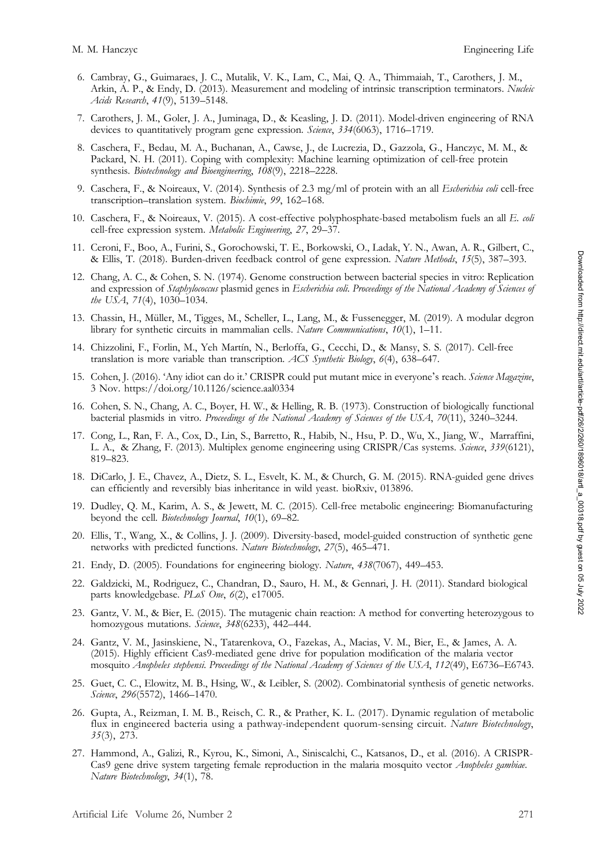- 6. Cambray, G., Guimaraes, J. C., Mutalik, V. K., Lam, C., Mai, Q. A., Thimmaiah, T., Carothers, J. M., Arkin, A. P., & Endy, D. (2013). Measurement and modeling of intrinsic transcription terminators. Nucleic Acids Research, 41(9), 5139–5148.
- 7. Carothers, J. M., Goler, J. A., Juminaga, D., & Keasling, J. D. (2011). Model-driven engineering of RNA devices to quantitatively program gene expression. Science, 334(6063), 1716-1719.
- 8. Caschera, F., Bedau, M. A., Buchanan, A., Cawse, J., de Lucrezia, D., Gazzola, G., Hanczyc, M. M., & Packard, N. H. (2011). Coping with complexity: Machine learning optimization of cell-free protein synthesis. Biotechnology and Bioengineering, 108(9), 2218-2228.
- 9. Caschera, F., & Noireaux, V. (2014). Synthesis of 2.3 mg/ml of protein with an all Escherichia coli cell-free transcription–translation system. Biochimie, 99, 162–168.
- 10. Caschera, F., & Noireaux, V. (2015). A cost-effective polyphosphate-based metabolism fuels an all E. coli cell-free expression system. Metabolic Engineering, 27, 29–37.
- 11. Ceroni, F., Boo, A., Furini, S., Gorochowski, T. E., Borkowski, O., Ladak, Y. N., Awan, A. R., Gilbert, C., & Ellis, T. (2018). Burden-driven feedback control of gene expression. Nature Methods, 15(5), 387–393.
- 12. Chang, A. C., & Cohen, S. N. (1974). Genome construction between bacterial species in vitro: Replication and expression of Staphylococcus plasmid genes in Escherichia coli. Proceedings of the National Academy of Sciences of the USA, 71(4), 1030–1034.
- 13. Chassin, H., Müller, M., Tigges, M., Scheller, L., Lang, M., & Fussenegger, M. (2019). A modular degron library for synthetic circuits in mammalian cells. Nature Communications, 10(1), 1-11.
- 14. Chizzolini, F., Forlin, M., Yeh Martín, N., Berloffa, G., Cecchi, D., & Mansy, S. S. (2017). Cell-free translation is more variable than transcription. ACS Synthetic Biology, 6(4), 638–647.
- 15. Cohen, J. (2016). 'Any idiot can do it.' CRISPR could put mutant mice in everyone's reach. Science Magazine, 3 Nov.<https://doi.org/10.1126/science.aal0334>
- 16. Cohen, S. N., Chang, A. C., Boyer, H. W., & Helling, R. B. (1973). Construction of biologically functional bacterial plasmids in vitro. Proceedings of the National Academy of Sciences of the USA, 70(11), 3240–3244.
- 17. Cong, L., Ran, F. A., Cox, D., Lin, S., Barretto, R., Habib, N., Hsu, P. D., Wu, X., Jiang, W., Marraffini, L. A., & Zhang, F. (2013). Multiplex genome engineering using CRISPR/Cas systems. Science, 339(6121), 819–823.
- 18. DiCarlo, J. E., Chavez, A., Dietz, S. L., Esvelt, K. M., & Church, G. M. (2015). RNA-guided gene drives can efficiently and reversibly bias inheritance in wild yeast. bioRxiv, 013896.
- 19. Dudley, Q. M., Karim, A. S., & Jewett, M. C. (2015). Cell-free metabolic engineering: Biomanufacturing beyond the cell. Biotechnology Journal, 10(1), 69-82.
- 20. Ellis, T., Wang, X., & Collins, J. J. (2009). Diversity-based, model-guided construction of synthetic gene networks with predicted functions. Nature Biotechnology, 27(5), 465-471.
- 21. Endy, D. (2005). Foundations for engineering biology. Nature, 438(7067), 449–453.
- 22. Galdzicki, M., Rodriguez, C., Chandran, D., Sauro, H. M., & Gennari, J. H. (2011). Standard biological parts knowledgebase. PLoS One, 6(2), e17005.
- 23. Gantz, V. M., & Bier, E. (2015). The mutagenic chain reaction: A method for converting heterozygous to homozygous mutations. Science, 348(6233), 442-444.
- 24. Gantz, V. M., Jasinskiene, N., Tatarenkova, O., Fazekas, A., Macias, V. M., Bier, E., & James, A. A. (2015). Highly efficient Cas9-mediated gene drive for population modification of the malaria vector mosquito Anopheles stephensi. Proceedings of the National Academy of Sciences of the USA, 112(49), E6736–E6743.
- 25. Guet, C. C., Elowitz, M. B., Hsing, W., & Leibler, S. (2002). Combinatorial synthesis of genetic networks. Science, 296(5572), 1466-1470.
- 26. Gupta, A., Reizman, I. M. B., Reisch, C. R., & Prather, K. L. (2017). Dynamic regulation of metabolic flux in engineered bacteria using a pathway-independent quorum-sensing circuit. Nature Biotechnology, 35(3), 273.
- 27. Hammond, A., Galizi, R., Kyrou, K., Simoni, A., Siniscalchi, C., Katsanos, D., et al. (2016). A CRISPR-Cas9 gene drive system targeting female reproduction in the malaria mosquito vector Anopheles gambiae. Nature Biotechnology, 34(1), 78.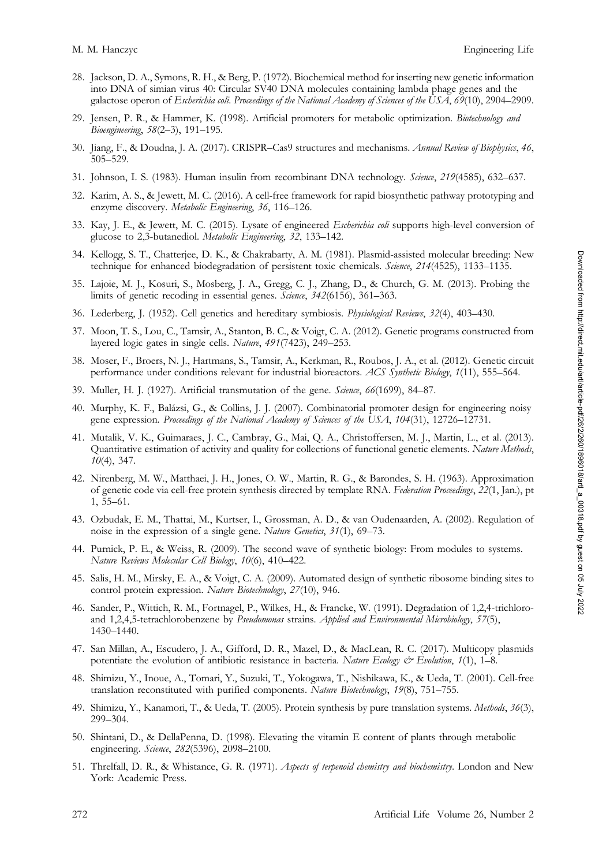- 28. Jackson, D. A., Symons, R. H., & Berg, P. (1972). Biochemical method for inserting new genetic information into DNA of simian virus 40: Circular SV40 DNA molecules containing lambda phage genes and the galactose operon of Escherichia coli. Proceedings of the National Academy of Sciences of the USA, 69(10), 2904–2909.
- 29. Jensen, P. R., & Hammer, K. (1998). Artificial promoters for metabolic optimization. Biotechnology and Bioengineering, 58(2–3), 191–195.
- 30. Jiang, F., & Doudna, J. A. (2017). CRISPR–Cas9 structures and mechanisms. Annual Review of Biophysics, 46, 505–529.
- 31. Johnson, I. S. (1983). Human insulin from recombinant DNA technology. Science, 219(4585), 632–637.
- 32. Karim, A. S., & Jewett, M. C. (2016). A cell-free framework for rapid biosynthetic pathway prototyping and enzyme discovery. Metabolic Engineering, 36, 116-126.
- 33. Kay, J. E., & Jewett, M. C. (2015). Lysate of engineered Escherichia coli supports high-level conversion of glucose to 2,3-butanediol. Metabolic Engineering, 32, 133–142.
- 34. Kellogg, S. T., Chatterjee, D. K., & Chakrabarty, A. M. (1981). Plasmid-assisted molecular breeding: New technique for enhanced biodegradation of persistent toxic chemicals. Science, 214(4525), 1133-1135.
- 35. Lajoie, M. J., Kosuri, S., Mosberg, J. A., Gregg, C. J., Zhang, D., & Church, G. M. (2013). Probing the limits of genetic recoding in essential genes. Science, 342(6156), 361–363.
- 36. Lederberg, J. (1952). Cell genetics and hereditary symbiosis. Physiological Reviews, 32(4), 403–430.
- 37. Moon, T. S., Lou, C., Tamsir, A., Stanton, B. C., & Voigt, C. A. (2012). Genetic programs constructed from layered logic gates in single cells. Nature, 491(7423), 249–253.
- 38. Moser, F., Broers, N. J., Hartmans, S., Tamsir, A., Kerkman, R., Roubos, J. A., et al. (2012). Genetic circuit performance under conditions relevant for industrial bioreactors. ACS Synthetic Biology, 1(11), 555–564.
- 39. Muller, H. J. (1927). Artificial transmutation of the gene. Science, 66(1699), 84–87.
- 40. Murphy, K. F., Balázsi, G., & Collins, J. J. (2007). Combinatorial promoter design for engineering noisy gene expression. Proceedings of the National Academy of Sciences of the USA, 104(31), 12726–12731.
- 41. Mutalik, V. K., Guimaraes, J. C., Cambray, G., Mai, Q. A., Christoffersen, M. J., Martin, L., et al. (2013). Quantitative estimation of activity and quality for collections of functional genetic elements. Nature Methods,  $10(4)$ , 347.
- 42. Nirenberg, M. W., Matthaei, J. H., Jones, O. W., Martin, R. G., & Barondes, S. H. (1963). Approximation of genetic code via cell-free protein synthesis directed by template RNA. Federation Proceedings, 22(1, Jan.), pt 1, 55–61.
- 43. Ozbudak, E. M., Thattai, M., Kurtser, I., Grossman, A. D., & van Oudenaarden, A. (2002). Regulation of noise in the expression of a single gene. Nature Genetics, 31(1), 69–73.
- 44. Purnick, P. E., & Weiss, R. (2009). The second wave of synthetic biology: From modules to systems. Nature Reviews Molecular Cell Biology, 10(6), 410–422.
- 45. Salis, H. M., Mirsky, E. A., & Voigt, C. A. (2009). Automated design of synthetic ribosome binding sites to control protein expression. Nature Biotechnology, 27(10), 946.
- 46. Sander, P., Wittich, R. M., Fortnagel, P., Wilkes, H., & Francke, W. (1991). Degradation of 1,2,4-trichloroand 1,2,4,5-tetrachlorobenzene by Pseudomonas strains. Applied and Environmental Microbiology, 57(5), 1430–1440.
- 47. San Millan, A., Escudero, J. A., Gifford, D. R., Mazel, D., & MacLean, R. C. (2017). Multicopy plasmids potentiate the evolution of antibiotic resistance in bacteria. Nature Ecology  $\mathcal{Q}$  Evolution, 1(1), 1–8.
- 48. Shimizu, Y., Inoue, A., Tomari, Y., Suzuki, T., Yokogawa, T., Nishikawa, K., & Ueda, T. (2001). Cell-free translation reconstituted with purified components. Nature Biotechnology, 19(8), 751–755.
- 49. Shimizu, Y., Kanamori, T., & Ueda, T. (2005). Protein synthesis by pure translation systems. Methods, 36(3), 299–304.
- 50. Shintani, D., & DellaPenna, D. (1998). Elevating the vitamin E content of plants through metabolic engineering. Science, 282(5396), 2098-2100.
- 51. Threlfall, D. R., & Whistance, G. R. (1971). Aspects of terpenoid chemistry and biochemistry. London and New York: Academic Press.